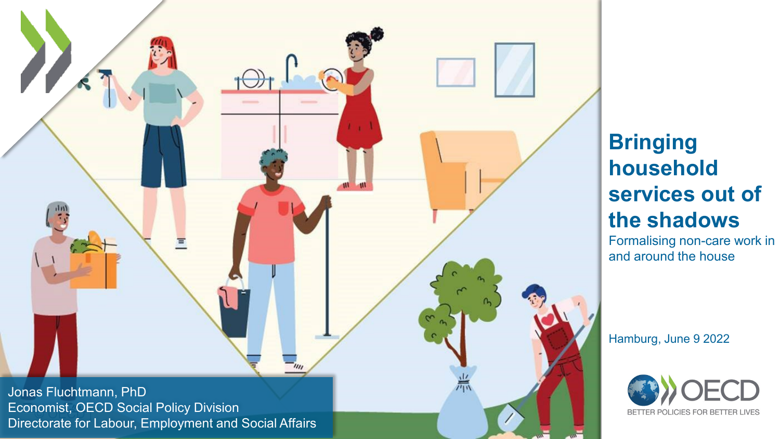© OECD | Economist, OECD Social Policy Division Jonas Fluchtmann, PhD Directorate for Labour, Employment and Social Affairs

 $\equiv$ 

### **Bringing household services out of the shadows**

Formalising non-care work in and around the house

Hamburg, June 9 2022

 $\sqrt{2}$ 

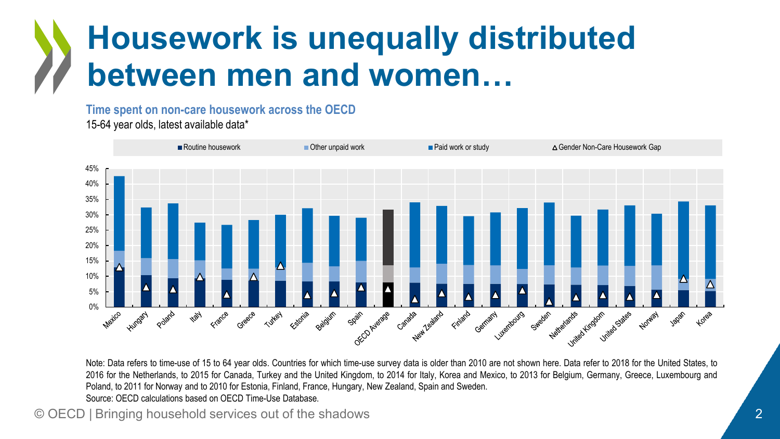### **Housework is unequally distributed between men and women…**

**Time spent on non-care housework across the OECD** 15-64 year olds, latest available data\*



Note: Data refers to time-use of 15 to 64 year olds. Countries for which time-use survey data is older than 2010 are not shown here. Data refer to 2018 for the United States, to 2016 for the Netherlands, to 2015 for Canada, Turkey and the United Kingdom, to 2014 for Italy, Korea and Mexico, to 2013 for Belgium, Germany, Greece, Luxembourg and Poland, to 2011 for Norway and to 2010 for Estonia, Finland, France, Hungary, New Zealand, Spain and Sweden. Source: OECD calculations based on OECD Time-Use Database.

© OECD | Bringing household services out of the shadows 2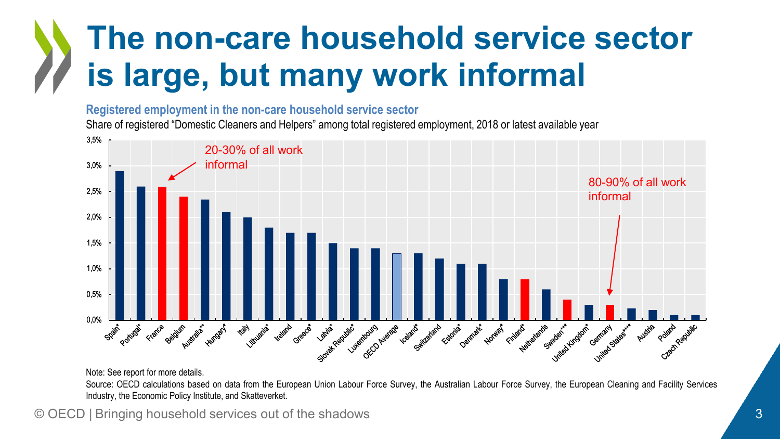### **The non-care household service sector is large, but many work informal**

#### **Registered employment in the non-care household service sector**

Share of registered "Domestic Cleaners and Helpers" among total registered employment, 2018 or latest available year



Note: See report for more details.

Source: OECD calculations based on data from the European Union Labour Force Survey, the Australian Labour Force Survey, the European Cleaning and Facility Services Industry, the Economic Policy Institute, and Skatteverket.

© OECD | Bringing household services out of the shadows 33 and 30 and 30 and 30 and 30 and 30 and 30 and 30 and 30 and 30 and 30 and 30 and 30 and 30 and 30 and 30 and 30 and 30 and 30 and 30 and 30 and 30 and 30 and 30 an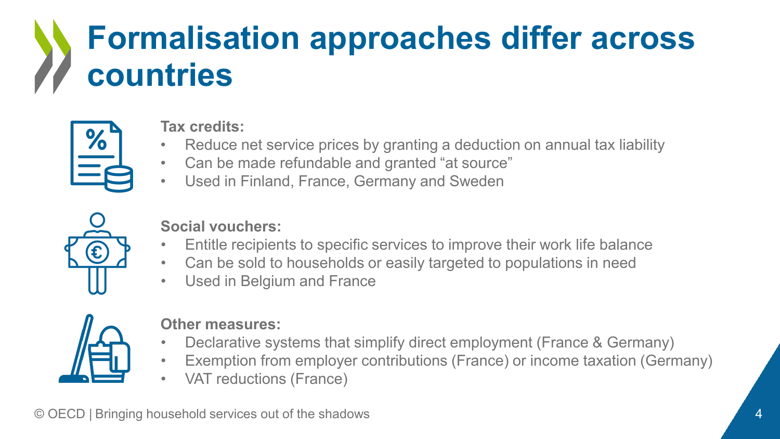## **Formalisation approaches differ across countries**



#### **Tax credits:**

- Reduce net service prices by granting a deduction on annual tax liability
- Can be made refundable and granted "at source"
- Used in Finland, France, Germany and Sweden



#### **Social vouchers:**

- Entitle recipients to specific services to improve their work life balance
- Can be sold to households or easily targeted to populations in need
- Used in Belgium and France



#### **Other measures:**

- Declarative systems that simplify direct employment (France & Germany)
- Exemption from employer contributions (France) or income taxation (Germany)
- VAT reductions (France)

© OECD | Bringing household services out of the shadows 4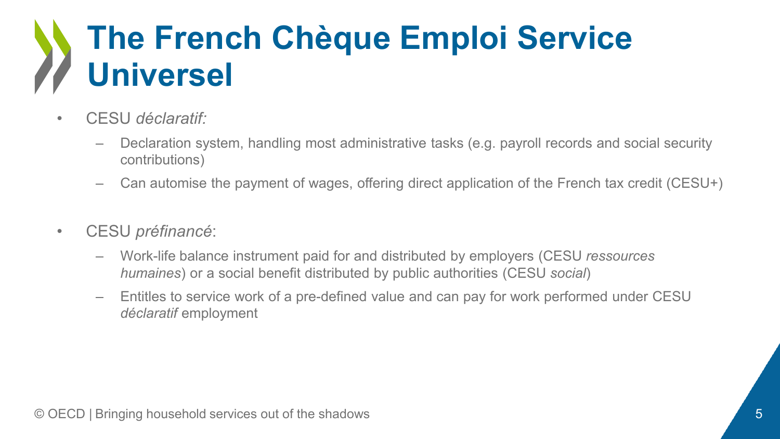### **The French Chèque Emploi Service Universel**

- CESU *déclaratif:*
	- Declaration system, handling most administrative tasks (e.g. payroll records and social security contributions)
	- Can automise the payment of wages, offering direct application of the French tax credit (CESU+)
- CESU *préfinancé*:
	- Work-life balance instrument paid for and distributed by employers (CESU *ressources humaines*) or a social benefit distributed by public authorities (CESU *social*)
	- Entitles to service work of a pre-defined value and can pay for work performed under CESU *déclaratif* employment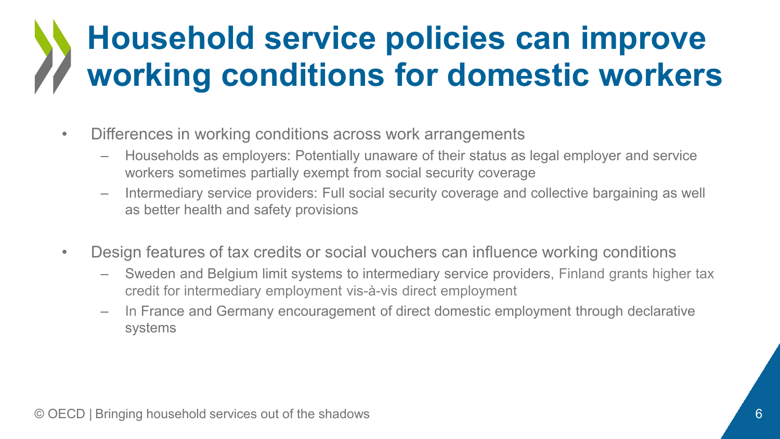## **Household service policies can improve working conditions for domestic workers**

- Differences in working conditions across work arrangements
	- Households as employers: Potentially unaware of their status as legal employer and service workers sometimes partially exempt from social security coverage
	- Intermediary service providers: Full social security coverage and collective bargaining as well as better health and safety provisions
- Design features of tax credits or social vouchers can influence working conditions
	- Sweden and Belgium limit systems to intermediary service providers, Finland grants higher tax credit for intermediary employment vis-à-vis direct employment
	- In France and Germany encouragement of direct domestic employment through declarative systems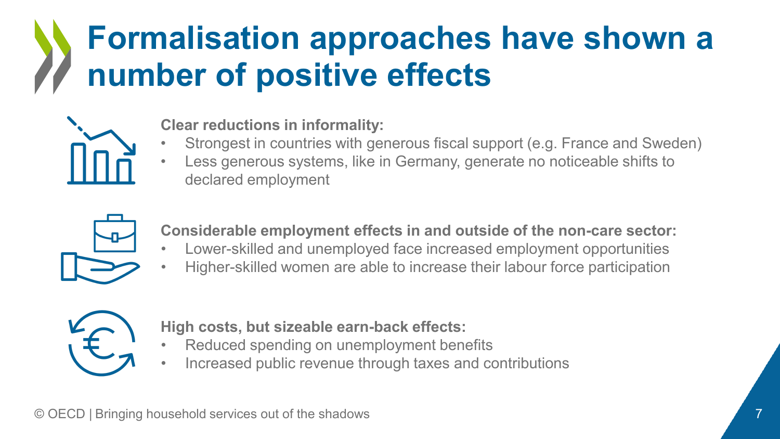### **Formalisation approaches have shown a number of positive effects**



#### **Clear reductions in informality:**

- Strongest in countries with generous fiscal support (e.g. France and Sweden)
- Less generous systems, like in Germany, generate no noticeable shifts to declared employment



**Considerable employment effects in and outside of the non-care sector:**

- Lower-skilled and unemployed face increased employment opportunities
- Higher-skilled women are able to increase their labour force participation



**High costs, but sizeable earn-back effects:**

- Reduced spending on unemployment benefits
- Increased public revenue through taxes and contributions

© OECD | Bringing household services out of the shadows 7